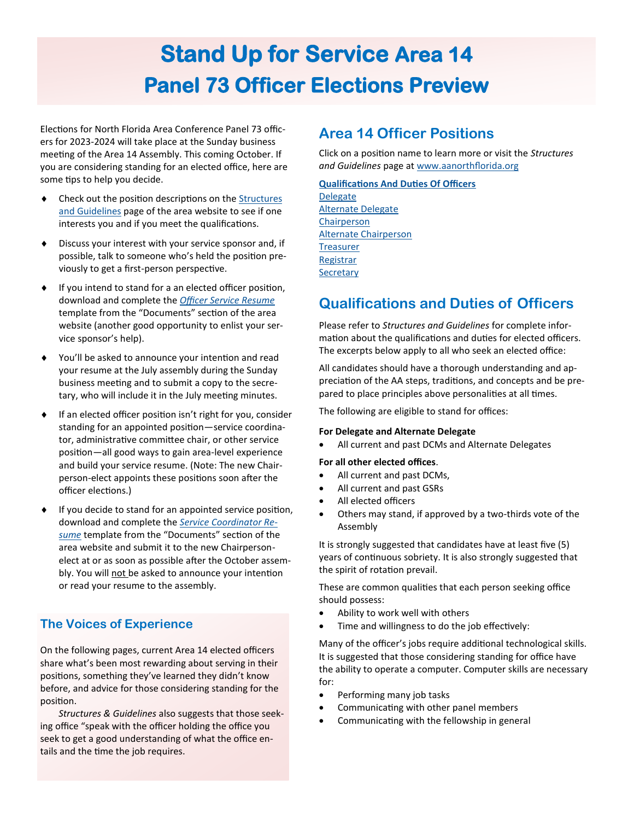# **Stand Up for Service Area 14 Panel 73 Officer Elections Preview**

Elections for North Florida Area Conference Panel 73 officers for 2023-2024 will take place at the Sunday business meeting of the Area 14 Assembly. This coming October. If you are considering standing for an elected office, here are some tips to help you decide.

- Check out the position descriptions on the [Structures](https://www.aanorthflorida.org/structures_guidelines.asp)  [and Guidelines](https://www.aanorthflorida.org/structures_guidelines.asp) page of the area website to see if one interests you and if you meet the qualifications.
- Discuss your interest with your service sponsor and, if possible, talk to someone who's held the position previously to get a first-person perspective.
- $\bullet$  If you intend to stand for a an elected officer position, download and complete the *[Officer Service Resume](https://www.aanorthflorida.org/docs/OfficerResume.pdf)* template from the "Documents" section of the area website (another good opportunity to enlist your service sponsor's help).
- You'll be asked to announce your intention and read your resume at the July assembly during the Sunday business meeting and to submit a copy to the secretary, who will include it in the July meeting minutes.
- If an elected officer position isn't right for you, consider standing for an appointed position—service coordinator, administrative committee chair, or other service position—all good ways to gain area-level experience and build your service resume. (Note: The new Chairperson-elect appoints these positions soon after the officer elections.)
- If you decide to stand for an appointed service position, download and complete the *[Service Coordinator Re](https://www.aanorthflorida.org/docs/service-coordinator-resume-5-2-21.pdf)[sume](https://www.aanorthflorida.org/docs/service-coordinator-resume-5-2-21.pdf)* template from the "Documents" section of the area website and submit it to the new Chairpersonelect at or as soon as possible after the October assembly. You will not be asked to announce your intention or read your resume to the assembly.

### **The Voices of Experience**

On the following pages, current Area 14 elected officers share what's been most rewarding about serving in their positions, something they've learned they didn't know before, and advice for those considering standing for the position.

*Structures & Guidelines* also suggests that those seeking office "speak with the officer holding the office you seek to get a good understanding of what the office entails and the time the job requires.

# **Area 14 Officer Positions**

Click on a position name to learn more or visit the *Structures and Guidelines* page at [www.aanorthflorida.org](http://www.aanorthflorica.org)

#### **[Qualifications And Duties Of Officers](https://www.aanorthflorida.org/structures_guidelines.asp#20)**

[Delegate](https://www.aanorthflorida.org/structures_guidelines.asp#21)  [Alternate Delegate](https://www.aanorthflorida.org/structures_guidelines.asp#22) [Chairperson](https://www.aanorthflorida.org/structures_guidelines.asp#23)  [Alternate Chairperson](https://www.aanorthflorida.org/structures_guidelines.asp#24)  **Treasurer Registrar Secretary** 

# **Qualifications and Duties of Officers**

Please refer to *Structures and Guidelines* for complete information about the qualifications and duties for elected officers. The excerpts below apply to all who seek an elected office:

All candidates should have a thorough understanding and appreciation of the AA steps, traditions, and concepts and be prepared to place principles above personalities at all times.

The following are eligible to stand for offices:

#### **For Delegate and Alternate Delegate**

• All current and past DCMs and Alternate Delegates

#### **For all other elected offices**.

- All current and past DCMs,
- All current and past GSRs
- All elected officers
- Others may stand, if approved by a two-thirds vote of the Assembly

It is strongly suggested that candidates have at least five (5) years of continuous sobriety. It is also strongly suggested that the spirit of rotation prevail.

These are common qualities that each person seeking office should possess:

- Ability to work well with others
- Time and willingness to do the job effectively:

Many of the officer's jobs require additional technological skills. It is suggested that those considering standing for office have the ability to operate a computer. Computer skills are necessary for:

- Performing many job tasks
- Communicating with other panel members
- Communicating with the fellowship in general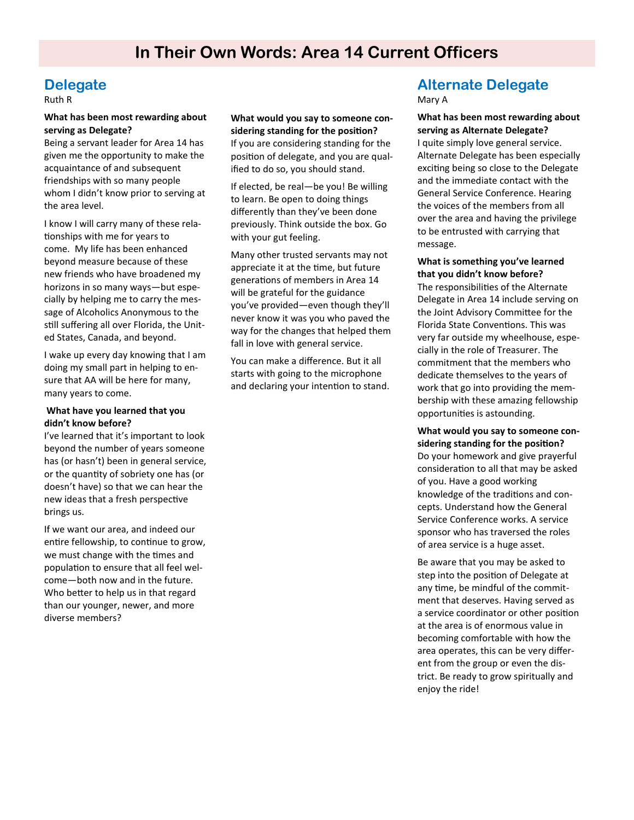# **Delegate**

Ruth R

#### **What has been most rewarding about serving as Delegate?**

Being a servant leader for Area 14 has given me the opportunity to make the acquaintance of and subsequent friendships with so many people whom I didn't know prior to serving at the area level.

I know I will carry many of these relationships with me for years to come. My life has been enhanced beyond measure because of these new friends who have broadened my horizons in so many ways—but especially by helping me to carry the message of Alcoholics Anonymous to the still suffering all over Florida, the United States, Canada, and beyond.

I wake up every day knowing that I am doing my small part in helping to ensure that AA will be here for many, many years to come.

#### **What have you learned that you didn't know before?**

I've learned that it's important to look beyond the number of years someone has (or hasn't) been in general service, or the quantity of sobriety one has (or doesn't have) so that we can hear the new ideas that a fresh perspective brings us.

If we want our area, and indeed our entire fellowship, to continue to grow, we must change with the times and population to ensure that all feel welcome—both now and in the future. Who better to help us in that regard than our younger, newer, and more diverse members?

**What would you say to someone considering standing for the position?** If you are considering standing for the position of delegate, and you are qualified to do so, you should stand.

If elected, be real—be you! Be willing to learn. Be open to doing things differently than they've been done previously. Think outside the box. Go with your gut feeling.

Many other trusted servants may not appreciate it at the time, but future generations of members in Area 14 will be grateful for the guidance you've provided—even though they'll never know it was you who paved the way for the changes that helped them fall in love with general service.

You can make a difference. But it all starts with going to the microphone and declaring your intention to stand.

### **Alternate Delegate** Mary A

**What has been most rewarding about serving as Alternate Delegate?** I quite simply love general service. Alternate Delegate has been especially exciting being so close to the Delegate and the immediate contact with the General Service Conference. Hearing the voices of the members from all over the area and having the privilege to be entrusted with carrying that message.

**What is something you've learned that you didn't know before?** The responsibilities of the Alternate Delegate in Area 14 include serving on the Joint Advisory Committee for the Florida State Conventions. This was very far outside my wheelhouse, especially in the role of Treasurer. The commitment that the members who dedicate themselves to the years of work that go into providing the membership with these amazing fellowship opportunities is astounding.

**What would you say to someone considering standing for the position?** Do your homework and give prayerful consideration to all that may be asked of you. Have a good working knowledge of the traditions and concepts. Understand how the General Service Conference works. A service sponsor who has traversed the roles of area service is a huge asset.

Be aware that you may be asked to step into the position of Delegate at any time, be mindful of the commitment that deserves. Having served as a service coordinator or other position at the area is of enormous value in becoming comfortable with how the area operates, this can be very different from the group or even the district. Be ready to grow spiritually and enjoy the ride!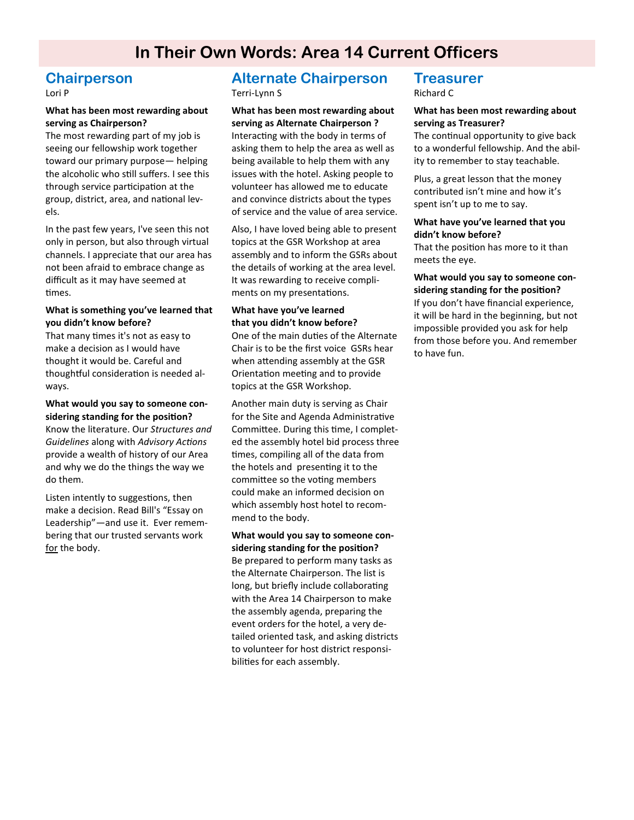# **In Their Own Words: Area 14 Current Officers**

### **Chairperson**

Lori P

#### **What has been most rewarding about serving as Chairperson?**

The most rewarding part of my job is seeing our fellowship work together toward our primary purpose— helping the alcoholic who still suffers. I see this through service participation at the group, district, area, and national levels.

In the past few years, I've seen this not only in person, but also through virtual channels. I appreciate that our area has not been afraid to embrace change as difficult as it may have seemed at times.

#### **What is something you've learned that you didn't know before?**

That many times it's not as easy to make a decision as I would have thought it would be. Careful and thoughtful consideration is needed always.

#### **What would you say to someone considering standing for the position?** Know the literature. Our *Structures and*

*Guidelines* along with *Advisory Actions* provide a wealth of history of our Area and why we do the things the way we do them.

Listen intently to suggestions, then make a decision. Read Bill's "Essay on Leadership"—and use it. Ever remembering that our trusted servants work for the body.

## **Alternate Chairperson**

Terri-Lynn S

#### **What has been most rewarding about serving as Alternate Chairperson ?**

Interacting with the body in terms of asking them to help the area as well as being available to help them with any issues with the hotel. Asking people to volunteer has allowed me to educate and convince districts about the types of service and the value of area service.

Also, I have loved being able to present topics at the GSR Workshop at area assembly and to inform the GSRs about the details of working at the area level. It was rewarding to receive compliments on my presentations.

#### **What have you've learned that you didn't know before?**

One of the main duties of the Alternate Chair is to be the first voice GSRs hear when attending assembly at the GSR Orientation meeting and to provide topics at the GSR Workshop.

Another main duty is serving as Chair for the Site and Agenda Administrative Committee. During this time, I completed the assembly hotel bid process three times, compiling all of the data from the hotels and presenting it to the committee so the voting members could make an informed decision on which assembly host hotel to recommend to the body.

#### **What would you say to someone considering standing for the position?**

Be prepared to perform many tasks as the Alternate Chairperson. The list is long, but briefly include collaborating with the Area 14 Chairperson to make the assembly agenda, preparing the event orders for the hotel, a very detailed oriented task, and asking districts to volunteer for host district responsibilities for each assembly.

### **Treasurer**

Richard C

#### **What has been most rewarding about serving as Treasurer?**

The continual opportunity to give back to a wonderful fellowship. And the ability to remember to stay teachable.

Plus, a great lesson that the money contributed isn't mine and how it's spent isn't up to me to say.

#### **What have you've learned that you didn't know before?**

That the position has more to it than meets the eye.

#### **What would you say to someone considering standing for the position?**

If you don't have financial experience, it will be hard in the beginning, but not impossible provided you ask for help from those before you. And remember to have fun.